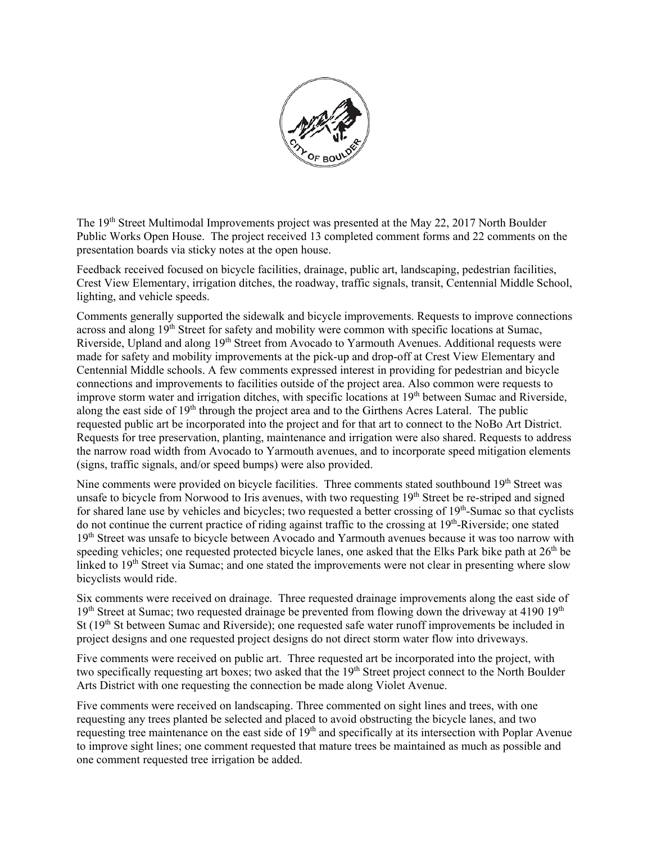

The 19<sup>th</sup> Street Multimodal Improvements project was presented at the May 22, 2017 North Boulder Public Works Open House. The project received 13 completed comment forms and 22 comments on the presentation boards via sticky notes at the open house.

Feedback received focused on bicycle facilities, drainage, public art, landscaping, pedestrian facilities, Crest View Elementary, irrigation ditches, the roadway, traffic signals, transit, Centennial Middle School, lighting, and vehicle speeds.

Comments generally supported the sidewalk and bicycle improvements. Requests to improve connections across and along  $19<sup>th</sup>$  Street for safety and mobility were common with specific locations at Sumac, Riverside, Upland and along 19th Street from Avocado to Yarmouth Avenues. Additional requests were made for safety and mobility improvements at the pick-up and drop-off at Crest View Elementary and Centennial Middle schools. A few comments expressed interest in providing for pedestrian and bicycle connections and improvements to facilities outside of the project area. Also common were requests to improve storm water and irrigation ditches, with specific locations at  $19<sup>th</sup>$  between Sumac and Riverside, along the east side of 19<sup>th</sup> through the project area and to the Girthens Acres Lateral. The public requested public art be incorporated into the project and for that art to connect to the NoBo Art District. Requests for tree preservation, planting, maintenance and irrigation were also shared. Requests to address the narrow road width from Avocado to Yarmouth avenues, and to incorporate speed mitigation elements (signs, traffic signals, and/or speed bumps) were also provided.

Nine comments were provided on bicycle facilities. Three comments stated southbound 19<sup>th</sup> Street was unsafe to bicycle from Norwood to Iris avenues, with two requesting 19<sup>th</sup> Street be re-striped and signed for shared lane use by vehicles and bicycles; two requested a better crossing of  $19<sup>th</sup>$ -Sumac so that cyclists do not continue the current practice of riding against traffic to the crossing at 19th-Riverside; one stated 19<sup>th</sup> Street was unsafe to bicycle between Avocado and Yarmouth avenues because it was too narrow with speeding vehicles; one requested protected bicycle lanes, one asked that the Elks Park bike path at 26<sup>th</sup> be linked to 19<sup>th</sup> Street via Sumac; and one stated the improvements were not clear in presenting where slow bicyclists would ride.

Six comments were received on drainage. Three requested drainage improvements along the east side of  $19<sup>th</sup>$  Street at Sumac; two requested drainage be prevented from flowing down the driveway at 4190 19<sup>th</sup> St  $(19<sup>th</sup>$  St between Sumac and Riverside); one requested safe water runoff improvements be included in project designs and one requested project designs do not direct storm water flow into driveways.

Five comments were received on public art. Three requested art be incorporated into the project, with two specifically requesting art boxes; two asked that the 19<sup>th</sup> Street project connect to the North Boulder Arts District with one requesting the connection be made along Violet Avenue.

Five comments were received on landscaping. Three commented on sight lines and trees, with one requesting any trees planted be selected and placed to avoid obstructing the bicycle lanes, and two requesting tree maintenance on the east side of 19<sup>th</sup> and specifically at its intersection with Poplar Avenue to improve sight lines; one comment requested that mature trees be maintained as much as possible and one comment requested tree irrigation be added.